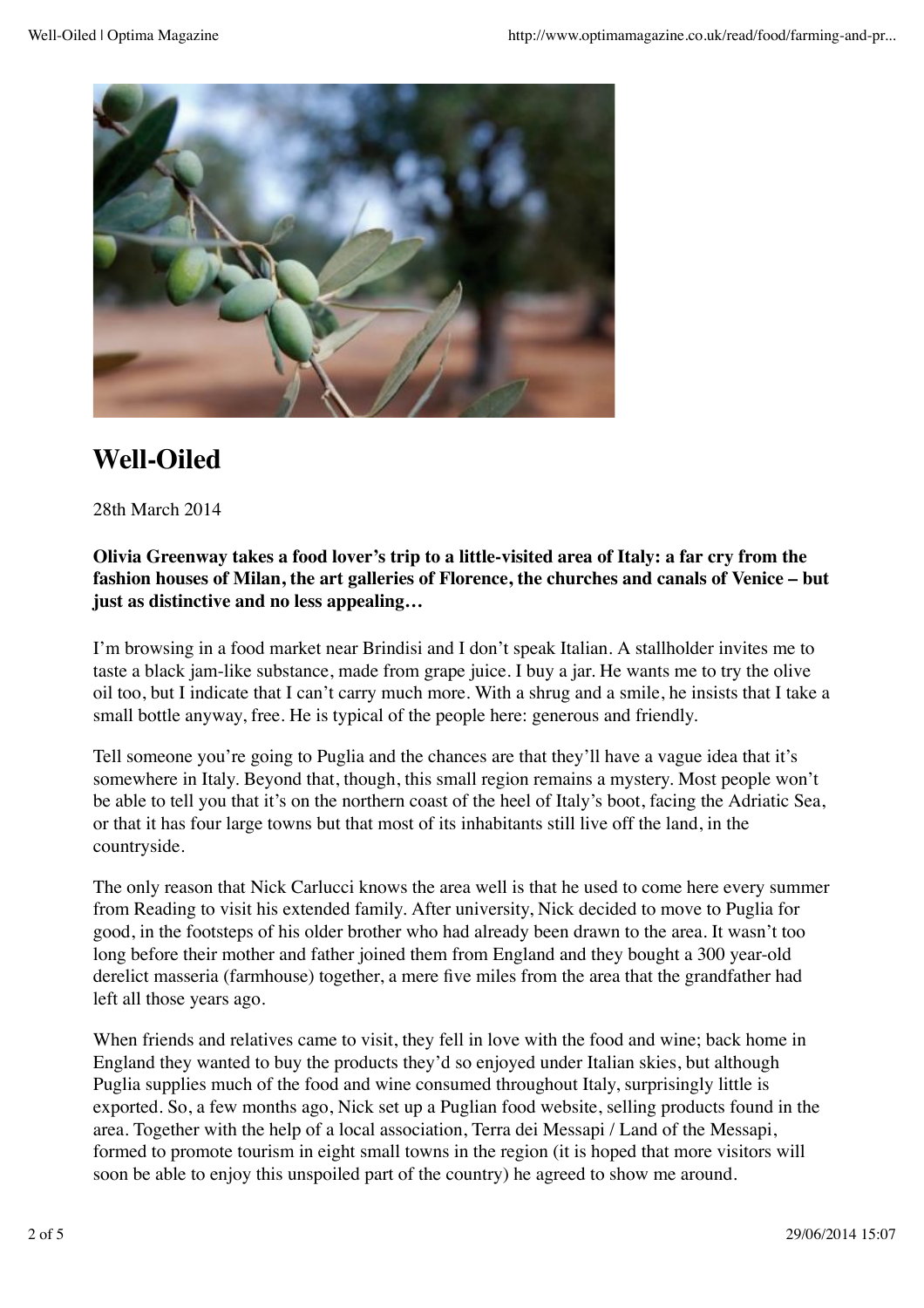

# **Well-Oiled**

28th March 2014

### **Olivia Greenway takes a food lover's trip to a little-visited area of Italy: a far cry from the fashion houses of Milan, the art galleries of Florence, the churches and canals of Venice – but just as distinctive and no less appealing…**

I'm browsing in a food market near Brindisi and I don't speak Italian. A stallholder invites me to taste a black jam-like substance, made from grape juice. I buy a jar. He wants me to try the olive oil too, but I indicate that I can't carry much more. With a shrug and a smile, he insists that I take a small bottle anyway, free. He is typical of the people here: generous and friendly.

Tell someone you're going to Puglia and the chances are that they'll have a vague idea that it's somewhere in Italy. Beyond that, though, this small region remains a mystery. Most people won't be able to tell you that it's on the northern coast of the heel of Italy's boot, facing the Adriatic Sea, or that it has four large towns but that most of its inhabitants still live off the land, in the countryside.

The only reason that Nick Carlucci knows the area well is that he used to come here every summer from Reading to visit his extended family. After university, Nick decided to move to Puglia for good, in the footsteps of his older brother who had already been drawn to the area. It wasn't too long before their mother and father joined them from England and they bought a 300 year-old derelict masseria (farmhouse) together, a mere five miles from the area that the grandfather had left all those years ago.

When friends and relatives came to visit, they fell in love with the food and wine; back home in England they wanted to buy the products they'd so enjoyed under Italian skies, but although Puglia supplies much of the food and wine consumed throughout Italy, surprisingly little is exported. So, a few months ago, Nick set up a Puglian food website, selling products found in the area. Together with the help of a local association, Terra dei Messapi / Land of the Messapi, formed to promote tourism in eight small towns in the region (it is hoped that more visitors will soon be able to enjoy this unspoiled part of the country) he agreed to show me around.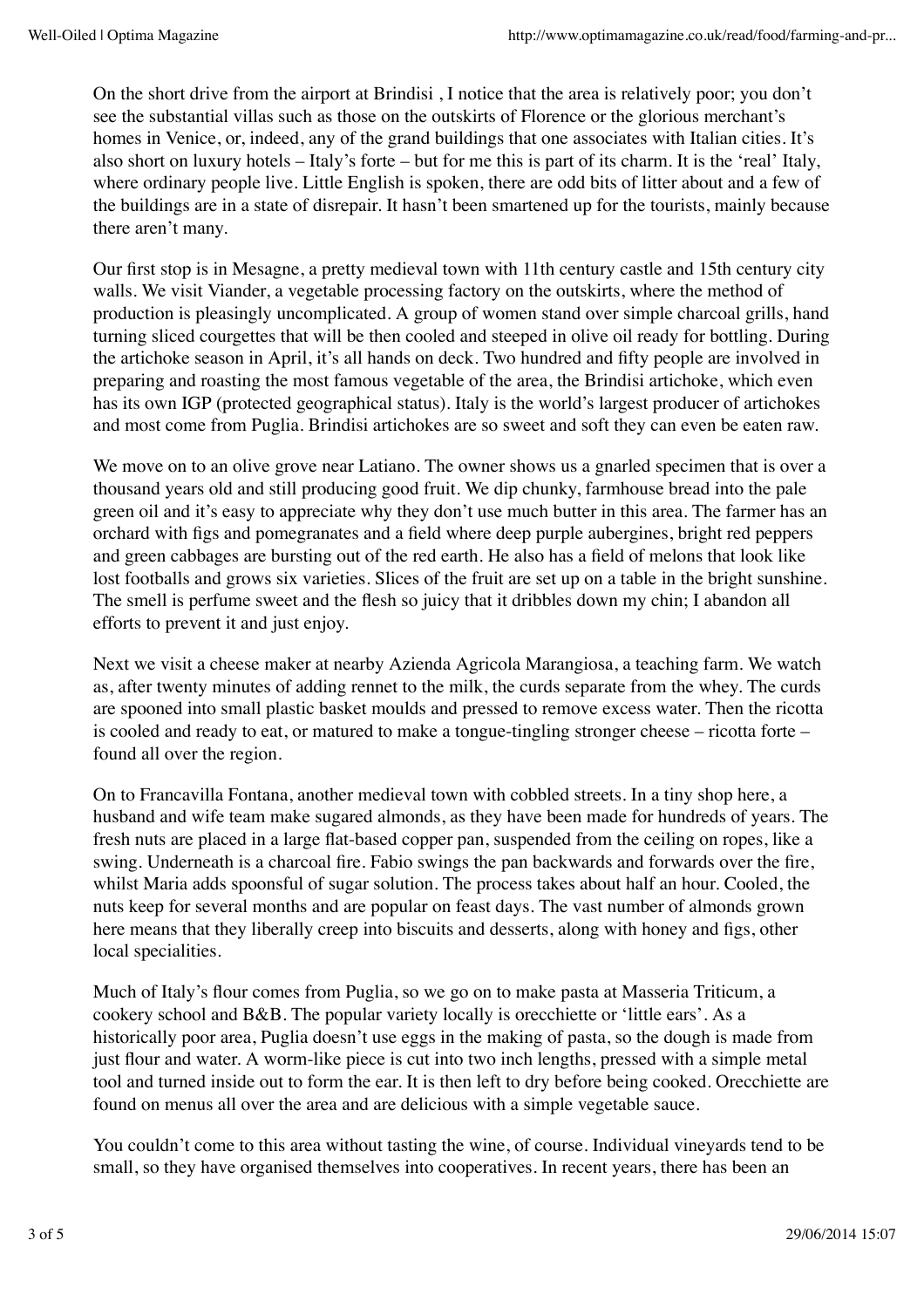On the short drive from the airport at Brindisi , I notice that the area is relatively poor; you don't see the substantial villas such as those on the outskirts of Florence or the glorious merchant's homes in Venice, or, indeed, any of the grand buildings that one associates with Italian cities. It's also short on luxury hotels – Italy's forte – but for me this is part of its charm. It is the 'real' Italy, where ordinary people live. Little English is spoken, there are odd bits of litter about and a few of the buildings are in a state of disrepair. It hasn't been smartened up for the tourists, mainly because there aren't many.

Our first stop is in Mesagne, a pretty medieval town with 11th century castle and 15th century city walls. We visit Viander, a vegetable processing factory on the outskirts, where the method of production is pleasingly uncomplicated. A group of women stand over simple charcoal grills, hand turning sliced courgettes that will be then cooled and steeped in olive oil ready for bottling. During the artichoke season in April, it's all hands on deck. Two hundred and fifty people are involved in preparing and roasting the most famous vegetable of the area, the Brindisi artichoke, which even has its own IGP (protected geographical status). Italy is the world's largest producer of artichokes and most come from Puglia. Brindisi artichokes are so sweet and soft they can even be eaten raw.

We move on to an olive grove near Latiano. The owner shows us a gnarled specimen that is over a thousand years old and still producing good fruit. We dip chunky, farmhouse bread into the pale green oil and it's easy to appreciate why they don't use much butter in this area. The farmer has an orchard with figs and pomegranates and a field where deep purple aubergines, bright red peppers and green cabbages are bursting out of the red earth. He also has a field of melons that look like lost footballs and grows six varieties. Slices of the fruit are set up on a table in the bright sunshine. The smell is perfume sweet and the flesh so juicy that it dribbles down my chin; I abandon all efforts to prevent it and just enjoy.

Next we visit a cheese maker at nearby Azienda Agricola Marangiosa, a teaching farm. We watch as, after twenty minutes of adding rennet to the milk, the curds separate from the whey. The curds are spooned into small plastic basket moulds and pressed to remove excess water. Then the ricotta is cooled and ready to eat, or matured to make a tongue-tingling stronger cheese – ricotta forte – found all over the region.

On to Francavilla Fontana, another medieval town with cobbled streets. In a tiny shop here, a husband and wife team make sugared almonds, as they have been made for hundreds of years. The fresh nuts are placed in a large flat-based copper pan, suspended from the ceiling on ropes, like a swing. Underneath is a charcoal fire. Fabio swings the pan backwards and forwards over the fire, whilst Maria adds spoonsful of sugar solution. The process takes about half an hour. Cooled, the nuts keep for several months and are popular on feast days. The vast number of almonds grown here means that they liberally creep into biscuits and desserts, along with honey and figs, other local specialities.

Much of Italy's flour comes from Puglia, so we go on to make pasta at Masseria Triticum, a cookery school and B&B. The popular variety locally is orecchiette or 'little ears'. As a historically poor area, Puglia doesn't use eggs in the making of pasta, so the dough is made from just flour and water. A worm-like piece is cut into two inch lengths, pressed with a simple metal tool and turned inside out to form the ear. It is then left to dry before being cooked. Orecchiette are found on menus all over the area and are delicious with a simple vegetable sauce.

You couldn't come to this area without tasting the wine, of course. Individual vineyards tend to be small, so they have organised themselves into cooperatives. In recent years, there has been an